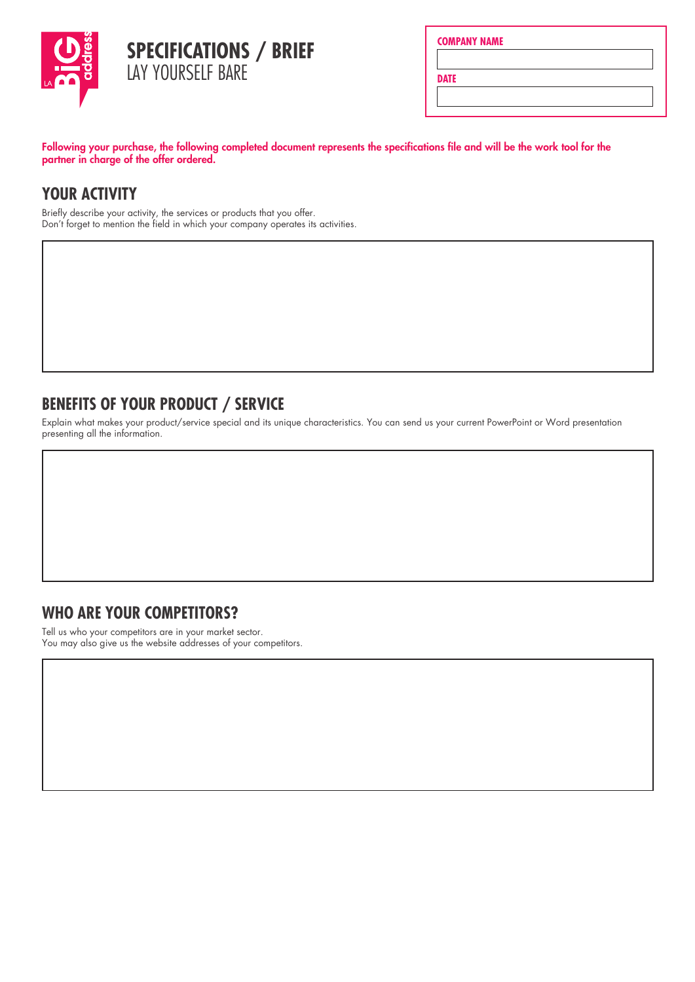

|  | <b>COMPANY NAME</b> |  |
|--|---------------------|--|
|  |                     |  |
|  |                     |  |

**DATE**

Following your purchase, the following completed document represents the specifications file and will be the work tool for the partner in charge of the offer ordered.

# **YOUR ACTIVITY**

Briefly describe your activity, the services or products that you offer. Don't forget to mention the field in which your company operates its activities.

#### **BENEFITS OF YOUR PRODUCT / SERVICE**

Explain what makes your product/service special and its unique characteristics. You can send us your current PowerPoint or Word presentation presenting all the information.

## **WHO ARE YOUR COMPETITORS?**

Tell us who your competitors are in your market sector. You may also give us the website addresses of your competitors.